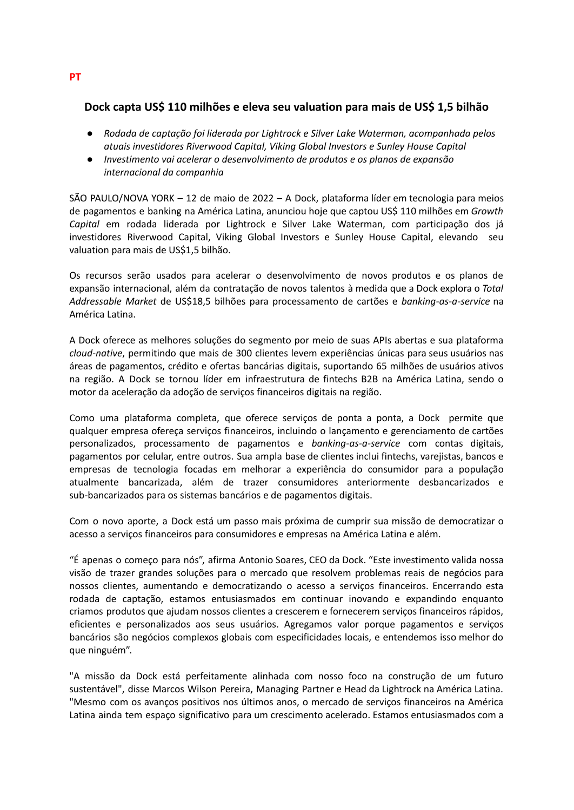# **Dock capta US\$ 110 milhões e eleva seu valuation para mais de US\$ 1,5 bilhão**

- *● Rodada de captação foi liderada por Lightrock e Silver Lake Waterman, acompanhada pelos atuais investidores Riverwood Capital, Viking Global Investors e Sunley House Capital*
- *● Investimento vai acelerar o desenvolvimento de produtos e os planos de expansão internacional da companhia*

SÃO PAULO/NOVA YORK – 12 de maio de 2022 – A Dock, plataforma líder em tecnologia para meios de pagamentos e banking na América Latina, anunciou hoje que captou US\$ 110 milhões em *Growth Capital* em rodada liderada por Lightrock e Silver Lake Waterman, com participação dos já investidores Riverwood Capital, Viking Global Investors e Sunley House Capital, elevando seu valuation para mais de US\$1,5 bilhão.

Os recursos serão usados para acelerar o desenvolvimento de novos produtos e os planos de expansão internacional, além da contratação de novos talentos à medida que a Dock explora o *Total Addressable Market* de US\$18,5 bilhões para processamento de cartões e *banking-as-a-service* na América Latina.

A Dock oferece as melhores soluções do segmento por meio de suas APIs abertas e sua plataforma *cloud-native*, permitindo que mais de 300 clientes levem experiências únicas para seus usuários nas áreas de pagamentos, crédito e ofertas bancárias digitais, suportando 65 milhões de usuários ativos na região. A Dock se tornou líder em infraestrutura de fintechs B2B na América Latina, sendo o motor da aceleração da adoção de serviços financeiros digitais na região.

Como uma plataforma completa, que oferece serviços de ponta a ponta, a Dock permite que qualquer empresa ofereça serviços financeiros, incluindo o lançamento e gerenciamento de cartões personalizados, processamento de pagamentos e *banking-as-a-service* com contas digitais, pagamentos por celular, entre outros. Sua ampla base de clientes inclui fintechs, varejistas, bancos e empresas de tecnologia focadas em melhorar a experiência do consumidor para a população atualmente bancarizada, além de trazer consumidores anteriormente desbancarizados e sub-bancarizados para os sistemas bancários e de pagamentos digitais.

Com o novo aporte, a Dock está um passo mais próxima de cumprir sua missão de democratizar o acesso a serviços financeiros para consumidores e empresas na América Latina e além.

"É apenas o começo para nós", afirma Antonio Soares, CEO da Dock. "Este investimento valida nossa visão de trazer grandes soluções para o mercado que resolvem problemas reais de negócios para nossos clientes, aumentando e democratizando o acesso a serviços financeiros. Encerrando esta rodada de captação, estamos entusiasmados em continuar inovando e expandindo enquanto criamos produtos que ajudam nossos clientes a crescerem e fornecerem serviços financeiros rápidos, eficientes e personalizados aos seus usuários. Agregamos valor porque pagamentos e serviços bancários são negócios complexos globais com especificidades locais, e entendemos isso melhor do que ninguém".

"A missão da Dock está perfeitamente alinhada com nosso foco na construção de um futuro sustentável", disse Marcos Wilson Pereira, Managing Partner e Head da Lightrock na América Latina. "Mesmo com os avanços positivos nos últimos anos, o mercado de serviços financeiros na América Latina ainda tem espaço significativo para um crescimento acelerado. Estamos entusiasmados com a

**PT**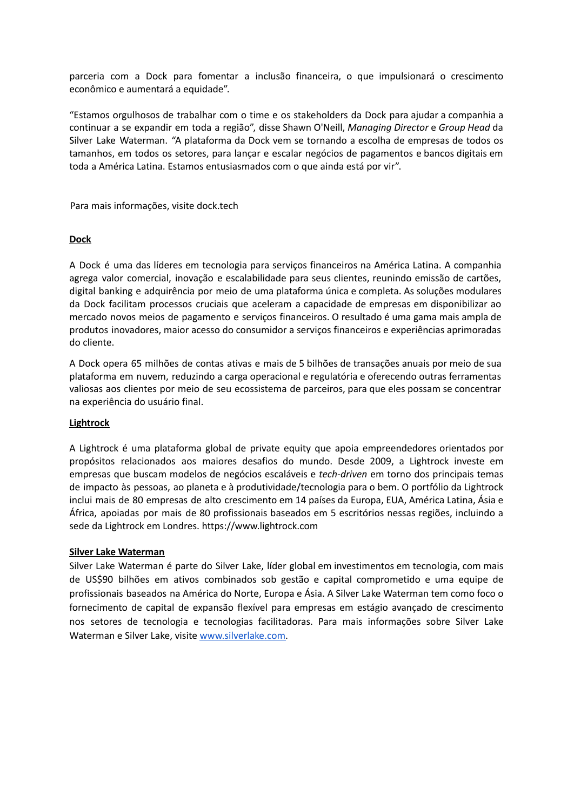parceria com a Dock para fomentar a inclusão financeira, o que impulsionará o crescimento econômico e aumentará a equidade".

"Estamos orgulhosos de trabalhar com o time e os stakeholders da Dock para ajudar a companhia a continuar a se expandir em toda a região", disse Shawn O'Neill, *Managing Director* e *Group Head* da Silver Lake Waterman. "A plataforma da Dock vem se tornando a escolha de empresas de todos os tamanhos, em todos os setores, para lançar e escalar negócios de pagamentos e bancos digitais em toda a América Latina. Estamos entusiasmados com o que ainda está por vir".

Para mais informações, visite dock.tech

#### **Dock**

A Dock é uma das líderes em tecnologia para serviços financeiros na América Latina. A companhia agrega valor comercial, inovação e escalabilidade para seus clientes, reunindo emissão de cartões, digital banking e adquirência por meio de uma plataforma única e completa. As soluções modulares da Dock facilitam processos cruciais que aceleram a capacidade de empresas em disponibilizar ao mercado novos meios de pagamento e serviços financeiros. O resultado é uma gama mais ampla de produtos inovadores, maior acesso do consumidor a serviços financeiros e experiências aprimoradas do cliente.

A Dock opera 65 milhões de contas ativas e mais de 5 bilhões de transações anuais por meio de sua plataforma em nuvem, reduzindo a carga operacional e regulatória e oferecendo outras ferramentas valiosas aos clientes por meio de seu ecossistema de parceiros, para que eles possam se concentrar na experiência do usuário final.

#### **Lightrock**

A Lightrock é uma plataforma global de private equity que apoia empreendedores orientados por propósitos relacionados aos maiores desafios do mundo. Desde 2009, a Lightrock investe em empresas que buscam modelos de negócios escaláveis e *tech-driven* em torno dos principais temas de impacto às pessoas, ao planeta e à produtividade/tecnologia para o bem. O portfólio da Lightrock inclui mais de 80 empresas de alto crescimento em 14 países da Europa, EUA, América Latina, Ásia e África, apoiadas por mais de 80 profissionais baseados em 5 escritórios nessas regiões, incluindo a sede da Lightrock em Londres. https://www.lightrock.com

#### **Silver Lake Waterman**

Silver Lake Waterman é parte do Silver Lake, líder global em investimentos em tecnologia, com mais de US\$90 bilhões em ativos combinados sob gestão e capital comprometido e uma equipe de profissionais baseados na América do Norte, Europa e Ásia. A Silver Lake Waterman tem como foco o fornecimento de capital de expansão flexível para empresas em estágio avançado de crescimento nos setores de tecnologia e tecnologias facilitadoras. Para mais informações sobre Silver Lake Waterman e Silver Lake, visite [www.silverlake.com.](http://www.silverlake.com)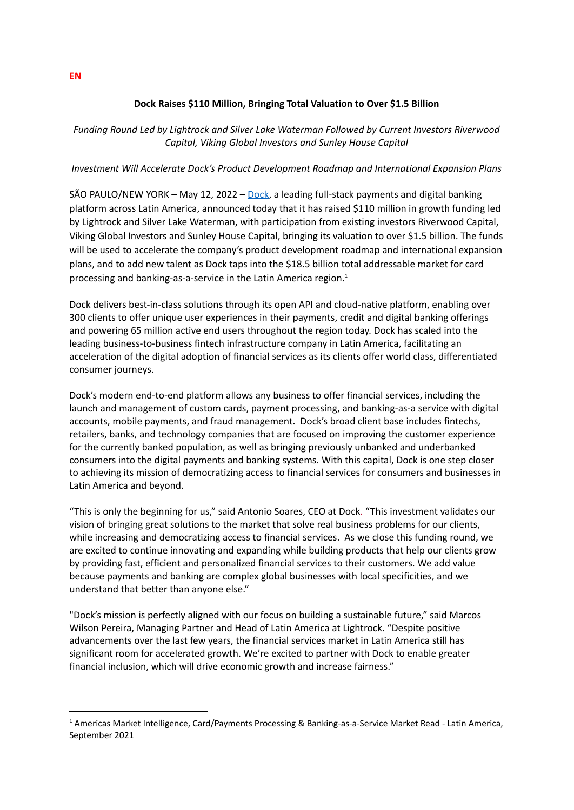### **Dock Raises \$110 Million, Bringing Total Valuation to Over \$1.5 Billion**

*Funding Round Led by Lightrock and Silver Lake Waterman Followed by Current Investors Riverwood Capital, Viking Global Investors and Sunley House Capital*

#### *Investment Will Accelerate Dock's Product Development Roadmap and International Expansion Plans*

SÃO PAULO/NEW YORK – May 12, 2022 – [Dock](https://dock.tech/), a leading full-stack payments and digital banking platform across Latin America, announced today that it has raised \$110 million in growth funding led by Lightrock and Silver Lake Waterman, with participation from existing investors Riverwood Capital, Viking Global Investors and Sunley House Capital, bringing its valuation to over \$1.5 billion. The funds will be used to accelerate the company's product development roadmap and international expansion plans, and to add new talent as Dock taps into the \$18.5 billion total addressable market for card processing and banking-as-a-service in the Latin America region. 1

Dock delivers best-in-class solutions through its open API and cloud-native platform, enabling over 300 clients to offer unique user experiences in their payments, credit and digital banking offerings and powering 65 million active end users throughout the region today. Dock has scaled into the leading business-to-business fintech infrastructure company in Latin America, facilitating an acceleration of the digital adoption of financial services as its clients offer world class, differentiated consumer journeys.

Dock's modern end-to-end platform allows any business to offer financial services, including the launch and management of custom cards, payment processing, and banking-as-a service with digital accounts, mobile payments, and fraud management. Dock's broad client base includes fintechs, retailers, banks, and technology companies that are focused on improving the customer experience for the currently banked population, as well as bringing previously unbanked and underbanked consumers into the digital payments and banking systems. With this capital, Dock is one step closer to achieving its mission of democratizing access to financial services for consumers and businesses in Latin America and beyond.

"This is only the beginning for us," said Antonio Soares, CEO at Dock. "This investment validates our vision of bringing great solutions to the market that solve real business problems for our clients, while increasing and democratizing access to financial services. As we close this funding round, we are excited to continue innovating and expanding while building products that help our clients grow by providing fast, efficient and personalized financial services to their customers. We add value because payments and banking are complex global businesses with local specificities, and we understand that better than anyone else."

"Dock's mission is perfectly aligned with our focus on building a sustainable future," said Marcos Wilson Pereira, Managing Partner and Head of Latin America at Lightrock. "Despite positive advancements over the last few years, the financial services market in Latin America still has significant room for accelerated growth. We're excited to partner with Dock to enable greater financial inclusion, which will drive economic growth and increase fairness."

**EN**

<sup>1</sup> Americas Market Intelligence, Card/Payments Processing & Banking-as-a-Service Market Read - Latin America, September 2021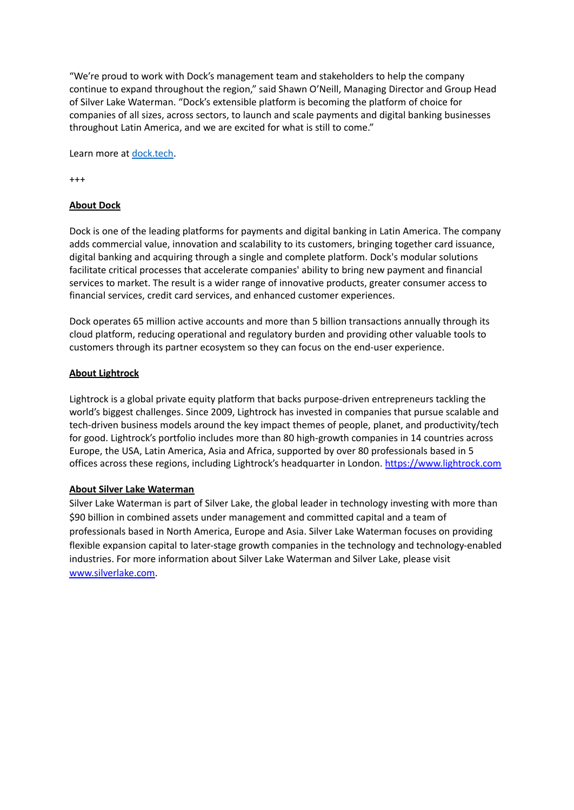"We're proud to work with Dock's management team and stakeholders to help the company continue to expand throughout the region," said Shawn O'Neill, Managing Director and Group Head of Silver Lake Waterman. "Dock's extensible platform is becoming the platform of choice for companies of all sizes, across sectors, to launch and scale payments and digital banking businesses throughout Latin America, and we are excited for what is still to come."

Learn more at [dock.tech](https://dock.tech/).

+++

# **About Dock**

Dock is one of the leading platforms for payments and digital banking in Latin America. The company adds commercial value, innovation and scalability to its customers, bringing together card issuance, digital banking and acquiring through a single and complete platform. Dock's modular solutions facilitate critical processes that accelerate companies' ability to bring new payment and financial services to market. The result is a wider range of innovative products, greater consumer access to financial services, credit card services, and enhanced customer experiences.

Dock operates 65 million active accounts and more than 5 billion transactions annually through its cloud platform, reducing operational and regulatory burden and providing other valuable tools to customers through its partner ecosystem so they can focus on the end-user experience.

### **About Lightrock**

Lightrock is a global private equity platform that backs purpose-driven entrepreneurs tackling the world's biggest challenges. Since 2009, Lightrock has invested in companies that pursue scalable and tech-driven business models around the key impact themes of people, planet, and productivity/tech for good. Lightrock's portfolio includes more than 80 high-growth companies in 14 countries across Europe, the USA, Latin America, Asia and Africa, supported by over 80 professionals based in 5 offices across these regions, including Lightrock's headquarter in London. <https://www.lightrock.com>

#### **About Silver Lake Waterman**

Silver Lake Waterman is part of Silver Lake, the global leader in technology investing with more than \$90 billion in combined assets under management and committed capital and a team of professionals based in North America, Europe and Asia. Silver Lake Waterman focuses on providing flexible expansion capital to later-stage growth companies in the technology and technology-enabled industries. For more information about Silver Lake Waterman and Silver Lake, please visit [www.silverlake.com](http://www.silverlake.com).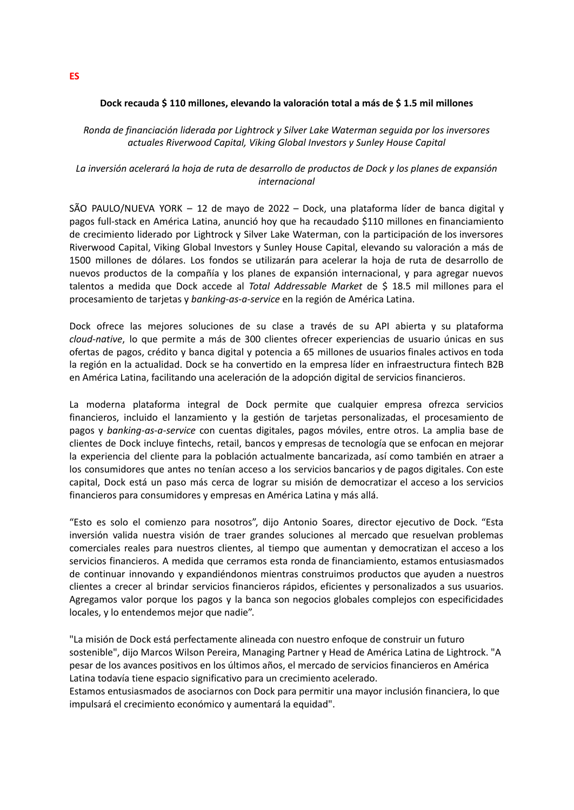#### **Dock recauda \$ 110 millones, elevando la valoración total a más de \$ 1.5 mil millones**

*Ronda de financiación liderada por Lightrock y Silver Lake Waterman seguida por los inversores actuales Riverwood Capital, Viking Global Investors y Sunley House Capital*

### La inversión acelerará la hoja de ruta de desarrollo de productos de Dock y los planes de expansión *internacional*

SÃO PAULO/NUEVA YORK – 12 de mayo de 2022 – Dock, una plataforma líder de banca digital y pagos full-stack en América Latina, anunció hoy que ha recaudado \$110 millones en financiamiento de crecimiento liderado por Lightrock y Silver Lake Waterman, con la participación de los inversores Riverwood Capital, Viking Global Investors y Sunley House Capital, elevando su valoración a más de 1500 millones de dólares. Los fondos se utilizarán para acelerar la hoja de ruta de desarrollo de nuevos productos de la compañía y los planes de expansión internacional, y para agregar nuevos talentos a medida que Dock accede al *Total Addressable Market* de \$ 18.5 mil millones para el procesamiento de tarjetas y *banking-as-a-service* en la región de América Latina.

Dock ofrece las mejores soluciones de su clase a través de su API abierta y su plataforma *cloud-native*, lo que permite a más de 300 clientes ofrecer experiencias de usuario únicas en sus ofertas de pagos, crédito y banca digital y potencia a 65 millones de usuarios finales activos en toda la región en la actualidad. Dock se ha convertido en la empresa líder en infraestructura fintech B2B en América Latina, facilitando una aceleración de la adopción digital de servicios financieros.

La moderna plataforma integral de Dock permite que cualquier empresa ofrezca servicios financieros, incluido el lanzamiento y la gestión de tarjetas personalizadas, el procesamiento de pagos y *banking-as-a-service* con cuentas digitales, pagos móviles, entre otros. La amplia base de clientes de Dock incluye fintechs, retail, bancos y empresas de tecnología que se enfocan en mejorar la experiencia del cliente para la población actualmente bancarizada, así como también en atraer a los consumidores que antes no tenían acceso a los servicios bancarios y de pagos digitales. Con este capital, Dock está un paso más cerca de lograr su misión de democratizar el acceso a los servicios financieros para consumidores y empresas en América Latina y más allá.

"Esto es solo el comienzo para nosotros", dijo Antonio Soares, director ejecutivo de Dock. "Esta inversión valida nuestra visión de traer grandes soluciones al mercado que resuelvan problemas comerciales reales para nuestros clientes, al tiempo que aumentan y democratizan el acceso a los servicios financieros. A medida que cerramos esta ronda de financiamiento, estamos entusiasmados de continuar innovando y expandiéndonos mientras construimos productos que ayuden a nuestros clientes a crecer al brindar servicios financieros rápidos, eficientes y personalizados a sus usuarios. Agregamos valor porque los pagos y la banca son negocios globales complejos con especificidades locales, y lo entendemos mejor que nadie".

"La misión de Dock está perfectamente alineada con nuestro enfoque de construir un futuro sostenible", dijo Marcos Wilson Pereira, Managing Partner y Head de América Latina de Lightrock. "A pesar de los avances positivos en los últimos años, el mercado de servicios financieros en América Latina todavía tiene espacio significativo para un crecimiento acelerado.

Estamos entusiasmados de asociarnos con Dock para permitir una mayor inclusión financiera, lo que impulsará el crecimiento económico y aumentará la equidad".

**ES**